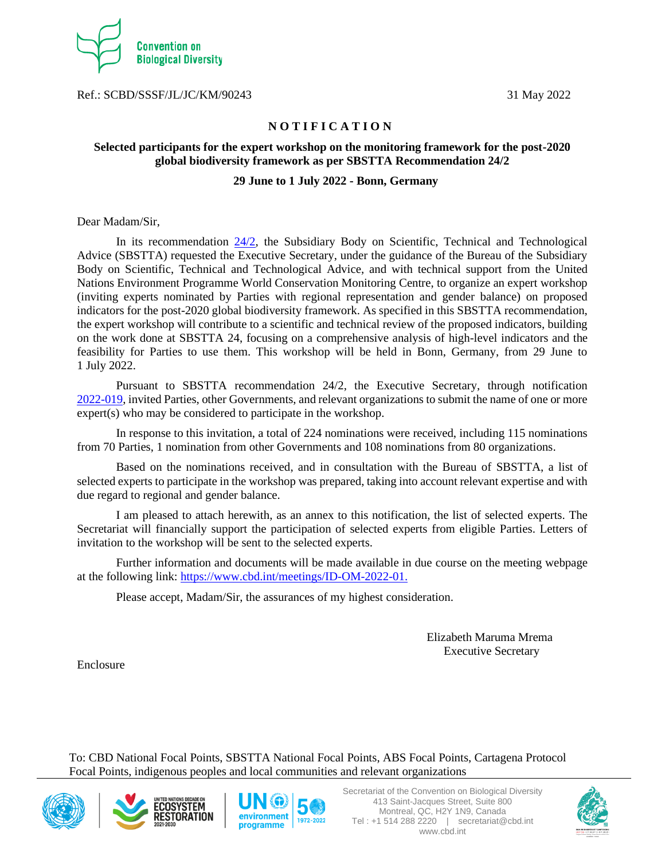

Ref.: SCBD/SSSF/JL/JC/KM/90243 31 May 2022

## **N O T I F I C A T I O N**

# **Selected participants for the expert workshop on the monitoring framework for the post-2020 global biodiversity framework as per SBSTTA Recommendation 24/2**

## **29 June to 1 July 2022 - Bonn, Germany**

Dear Madam/Sir,

In its recommendation [24/2,](https://www.cbd.int/doc/recommendations/sbstta-24/sbstta-24-rec-02-en.pdf) the Subsidiary Body on Scientific, Technical and Technological Advice (SBSTTA) requested the Executive Secretary, under the guidance of the Bureau of the Subsidiary Body on Scientific, Technical and Technological Advice, and with technical support from the United Nations Environment Programme World Conservation Monitoring Centre, to organize an expert workshop (inviting experts nominated by Parties with regional representation and gender balance) on proposed indicators for the post-2020 global biodiversity framework. As specified in this SBSTTA recommendation, the expert workshop will contribute to a scientific and technical review of the proposed indicators, building on the work done at SBSTTA 24, focusing on a comprehensive analysis of high-level indicators and the feasibility for Parties to use them. This workshop will be held in Bonn, Germany, from 29 June to 1 July 2022.

Pursuant to SBSTTA recommendation 24/2, the Executive Secretary, through notification [2022-019,](https://www.cbd.int/doc/notifications/2022/ntf-2022-019-indicators-en.pdf) invited Parties, other Governments, and relevant organizations to submit the name of one or more expert(s) who may be considered to participate in the workshop.

In response to this invitation, a total of 224 nominations were received, including 115 nominations from 70 Parties, 1 nomination from other Governments and 108 nominations from 80 organizations.

Based on the nominations received, and in consultation with the Bureau of SBSTTA, a list of selected experts to participate in the workshop was prepared, taking into account relevant expertise and with due regard to regional and gender balance.

I am pleased to attach herewith, as an annex to this notification, the list of selected experts. The Secretariat will financially support the participation of selected experts from eligible Parties. Letters of invitation to the workshop will be sent to the selected experts.

Further information and documents will be made available in due course on the meeting webpage at the following link: [https://www.cbd.int/meetings/ID-OM-2022-01.](https://www.cbd.int/meetings/ID-OM-2022-01)

Please accept, Madam/Sir, the assurances of my highest consideration.

 Elizabeth Maruma Mrema Executive Secretary

Enclosure

To: CBD National Focal Points, SBSTTA National Focal Points, ABS Focal Points, Cartagena Protocol Focal Points, indigenous peoples and local communities and relevant organizations